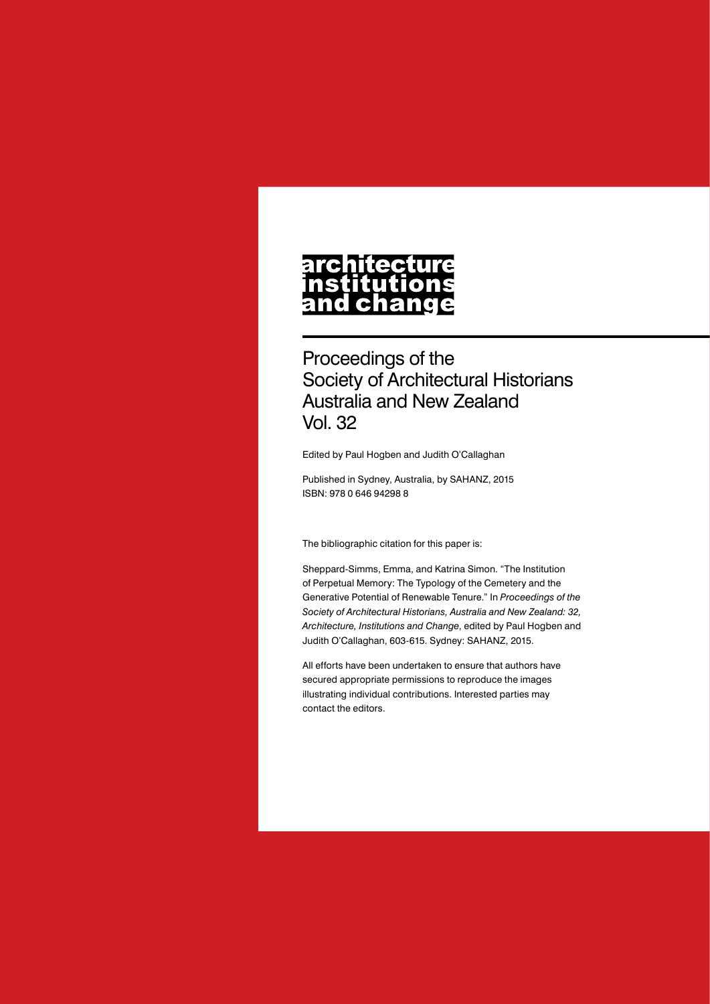# architecture nstitutions<br>and change

Proceedings of the Society of Architectural Historians Australia and New Zealand Vol. 32

Edited by Paul Hogben and Judith O'Callaghan

Published in Sydney, Australia, by SAHANZ, 2015 ISBN: 978 0 646 94298 8

The bibliographic citation for this paper is:

Sheppard-Simms, Emma, and Katrina Simon. "The Institution of Perpetual Memory: The Typology of the Cemetery and the Generative Potential of Renewable Tenure." In *Proceedings of the Society of Architectural Historians, Australia and New Zealand: 32, Architecture, Institutions and Change*, edited by Paul Hogben and Judith O'Callaghan, 603-615. Sydney: SAHANZ, 2015.

All efforts have been undertaken to ensure that authors have secured appropriate permissions to reproduce the images illustrating individual contributions. Interested parties may contact the editors.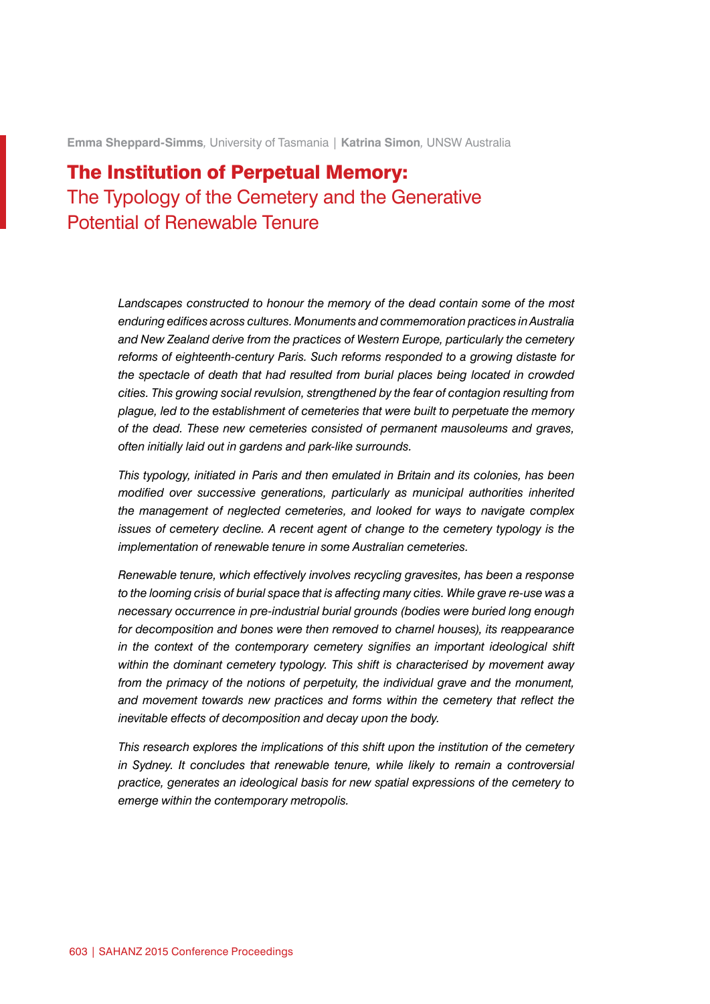**Emma Sheppard-Simms***,* University of Tasmania | **Katrina Simon***,* UNSW Australia

# The Institution of Perpetual Memory: The Typology of the Cemetery and the Generative Potential of Renewable Tenure

*Landscapes constructed to honour the memory of the dead contain some of the most enduring edifices across cultures. Monuments and commemoration practices in Australia and New Zealand derive from the practices of Western Europe, particularly the cemetery reforms of eighteenth-century Paris. Such reforms responded to a growing distaste for the spectacle of death that had resulted from burial places being located in crowded cities. This growing social revulsion, strengthened by the fear of contagion resulting from plague, led to the establishment of cemeteries that were built to perpetuate the memory of the dead. These new cemeteries consisted of permanent mausoleums and graves, often initially laid out in gardens and park-like surrounds.*

*This typology, initiated in Paris and then emulated in Britain and its colonies, has been modified over successive generations, particularly as municipal authorities inherited the management of neglected cemeteries, and looked for ways to navigate complex issues of cemetery decline. A recent agent of change to the cemetery typology is the implementation of renewable tenure in some Australian cemeteries.*

*Renewable tenure, which effectively involves recycling gravesites, has been a response to the looming crisis of burial space that is affecting many cities. While grave re-use was a necessary occurrence in pre-industrial burial grounds (bodies were buried long enough for decomposition and bones were then removed to charnel houses), its reappearance in the context of the contemporary cemetery signifies an important ideological shift within the dominant cemetery typology. This shift is characterised by movement away from the primacy of the notions of perpetuity, the individual grave and the monument, and movement towards new practices and forms within the cemetery that reflect the inevitable effects of decomposition and decay upon the body.*

*This research explores the implications of this shift upon the institution of the cemetery in Sydney. It concludes that renewable tenure, while likely to remain a controversial practice, generates an ideological basis for new spatial expressions of the cemetery to emerge within the contemporary metropolis.*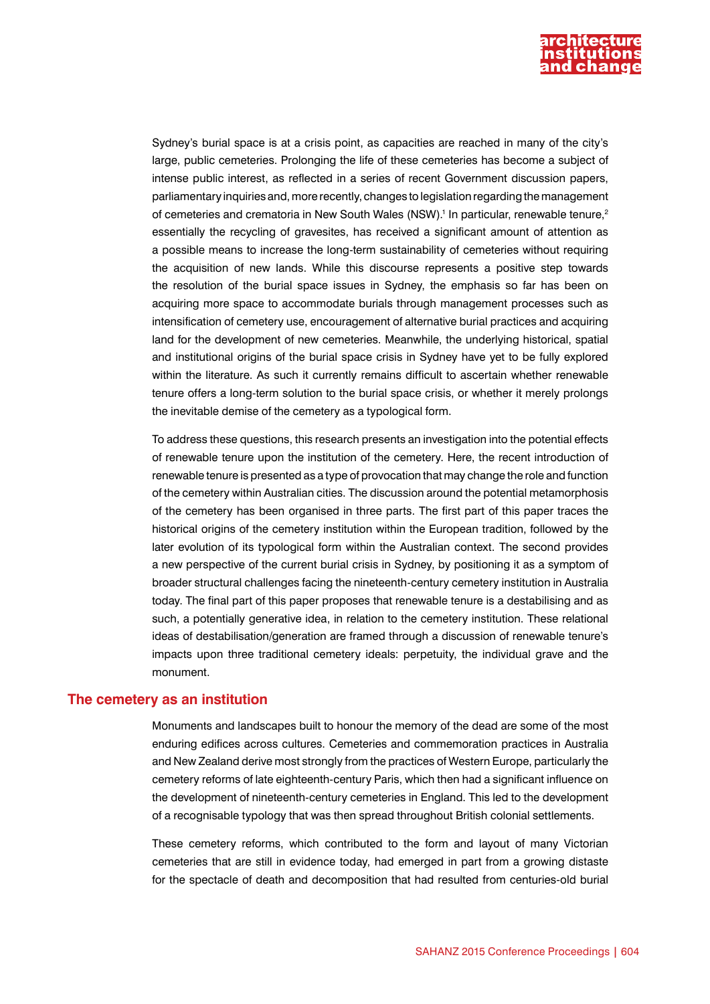

Sydney's burial space is at a crisis point, as capacities are reached in many of the city's large, public cemeteries. Prolonging the life of these cemeteries has become a subject of intense public interest, as reflected in a series of recent Government discussion papers, parliamentary inquiries and, more recently, changes to legislation regarding the management of cemeteries and crematoria in New South Wales (NSW).<sup>1</sup> In particular, renewable tenure,<sup>2</sup> essentially the recycling of gravesites, has received a significant amount of attention as a possible means to increase the long-term sustainability of cemeteries without requiring the acquisition of new lands. While this discourse represents a positive step towards the resolution of the burial space issues in Sydney, the emphasis so far has been on acquiring more space to accommodate burials through management processes such as intensification of cemetery use, encouragement of alternative burial practices and acquiring land for the development of new cemeteries. Meanwhile, the underlying historical, spatial and institutional origins of the burial space crisis in Sydney have yet to be fully explored within the literature. As such it currently remains difficult to ascertain whether renewable tenure offers a long-term solution to the burial space crisis, or whether it merely prolongs the inevitable demise of the cemetery as a typological form.

To address these questions, this research presents an investigation into the potential effects of renewable tenure upon the institution of the cemetery. Here, the recent introduction of renewable tenure is presented as a type of provocation that may change the role and function of the cemetery within Australian cities. The discussion around the potential metamorphosis of the cemetery has been organised in three parts. The first part of this paper traces the historical origins of the cemetery institution within the European tradition, followed by the later evolution of its typological form within the Australian context. The second provides a new perspective of the current burial crisis in Sydney, by positioning it as a symptom of broader structural challenges facing the nineteenth-century cemetery institution in Australia today. The final part of this paper proposes that renewable tenure is a destabilising and as such, a potentially generative idea, in relation to the cemetery institution. These relational ideas of destabilisation/generation are framed through a discussion of renewable tenure's impacts upon three traditional cemetery ideals: perpetuity, the individual grave and the monument.

#### **The cemetery as an institution**

Monuments and landscapes built to honour the memory of the dead are some of the most enduring edifices across cultures. Cemeteries and commemoration practices in Australia and New Zealand derive most strongly from the practices of Western Europe, particularly the cemetery reforms of late eighteenth-century Paris, which then had a significant influence on the development of nineteenth-century cemeteries in England. This led to the development of a recognisable typology that was then spread throughout British colonial settlements.

These cemetery reforms, which contributed to the form and layout of many Victorian cemeteries that are still in evidence today, had emerged in part from a growing distaste for the spectacle of death and decomposition that had resulted from centuries-old burial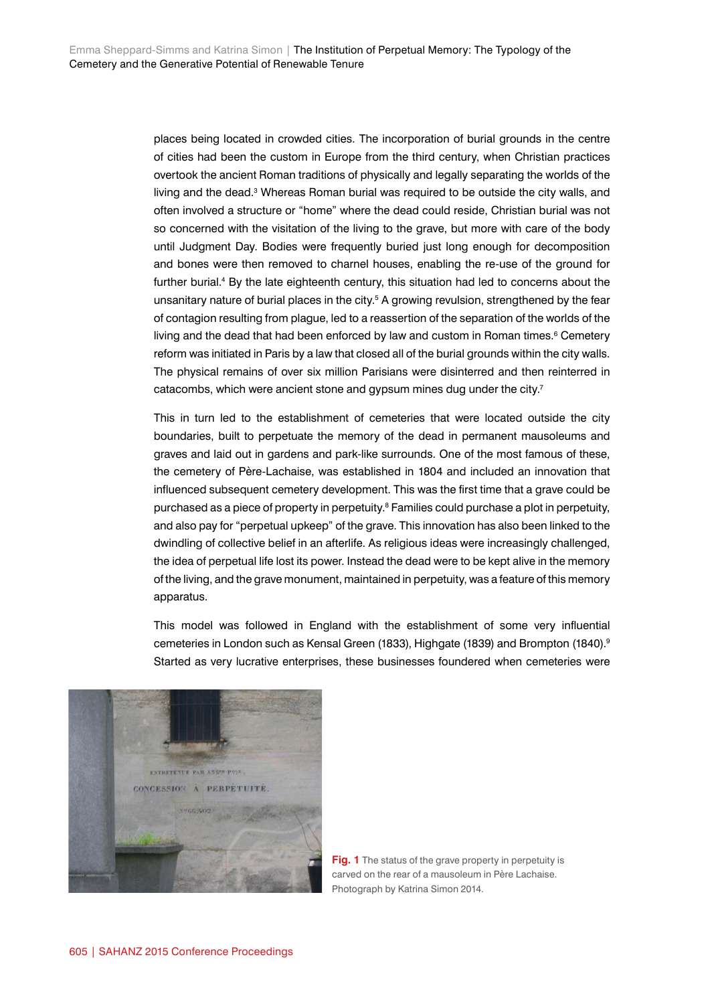places being located in crowded cities. The incorporation of burial grounds in the centre of cities had been the custom in Europe from the third century, when Christian practices overtook the ancient Roman traditions of physically and legally separating the worlds of the living and the dead.<sup>3</sup> Whereas Roman burial was required to be outside the city walls, and often involved a structure or "home" where the dead could reside, Christian burial was not so concerned with the visitation of the living to the grave, but more with care of the body until Judgment Day. Bodies were frequently buried just long enough for decomposition and bones were then removed to charnel houses, enabling the re-use of the ground for further burial.4 By the late eighteenth century, this situation had led to concerns about the unsanitary nature of burial places in the city.<sup>5</sup> A growing revulsion, strengthened by the fear of contagion resulting from plague, led to a reassertion of the separation of the worlds of the living and the dead that had been enforced by law and custom in Roman times.<sup>6</sup> Cemetery reform was initiated in Paris by a law that closed all of the burial grounds within the city walls. The physical remains of over six million Parisians were disinterred and then reinterred in catacombs, which were ancient stone and gypsum mines dug under the city.<sup>7</sup>

This in turn led to the establishment of cemeteries that were located outside the city boundaries, built to perpetuate the memory of the dead in permanent mausoleums and graves and laid out in gardens and park-like surrounds. One of the most famous of these, the cemetery of Père-Lachaise, was established in 1804 and included an innovation that influenced subsequent cemetery development. This was the first time that a grave could be purchased as a piece of property in perpetuity.<sup>8</sup> Families could purchase a plot in perpetuity, and also pay for "perpetual upkeep" of the grave. This innovation has also been linked to the dwindling of collective belief in an afterlife. As religious ideas were increasingly challenged, the idea of perpetual life lost its power. Instead the dead were to be kept alive in the memory of the living, and the grave monument, maintained in perpetuity, was a feature of this memory apparatus.

This model was followed in England with the establishment of some very influential cemeteries in London such as Kensal Green (1833), Highgate (1839) and Brompton (1840).<sup>9</sup> Started as very lucrative enterprises, these businesses foundered when cemeteries were



**Fig. 1** The status of the grave property in perpetuity is carved on the rear of a mausoleum in Père Lachaise. Photograph by Katrina Simon 2014.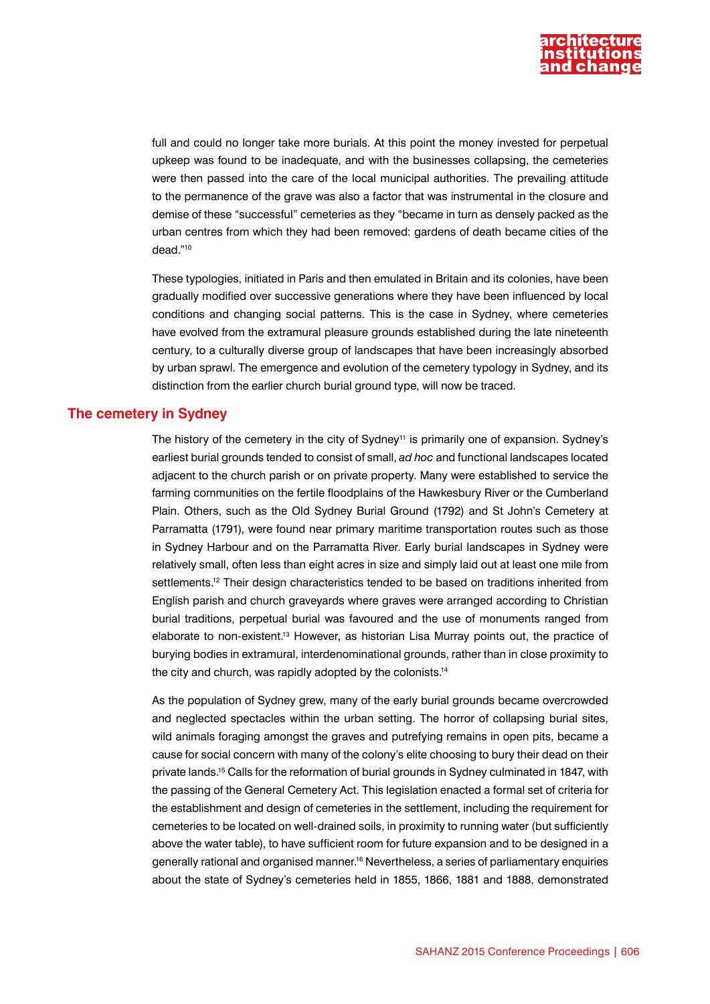

full and could no longer take more burials. At this point the money invested for perpetual upkeep was found to be inadequate, and with the businesses collapsing, the cemeteries were then passed into the care of the local municipal authorities. The prevailing attitude to the permanence of the grave was also a factor that was instrumental in the closure and demise of these "successful" cemeteries as they "became in turn as densely packed as the urban centres from which they had been removed: gardens of death became cities of the dead."10

These typologies, initiated in Paris and then emulated in Britain and its colonies, have been gradually modified over successive generations where they have been influenced by local conditions and changing social patterns. This is the case in Sydney, where cemeteries have evolved from the extramural pleasure grounds established during the late nineteenth century, to a culturally diverse group of landscapes that have been increasingly absorbed by urban sprawl. The emergence and evolution of the cemetery typology in Sydney, and its distinction from the earlier church burial ground type, will now be traced.

# **The cemetery in Sydney**

The history of the cemetery in the city of Sydney<sup>11</sup> is primarily one of expansion. Sydney's earliest burial grounds tended to consist of small, *ad hoc* and functional landscapes located adjacent to the church parish or on private property. Many were established to service the farming communities on the fertile floodplains of the Hawkesbury River or the Cumberland Plain. Others, such as the Old Sydney Burial Ground (1792) and St John's Cemetery at Parramatta (1791), were found near primary maritime transportation routes such as those in Sydney Harbour and on the Parramatta River. Early burial landscapes in Sydney were relatively small, often less than eight acres in size and simply laid out at least one mile from settlements.<sup>12</sup> Their design characteristics tended to be based on traditions inherited from English parish and church graveyards where graves were arranged according to Christian burial traditions, perpetual burial was favoured and the use of monuments ranged from elaborate to non-existent.13 However, as historian Lisa Murray points out, the practice of burying bodies in extramural, interdenominational grounds, rather than in close proximity to the city and church, was rapidly adopted by the colonists.<sup>14</sup>

As the population of Sydney grew, many of the early burial grounds became overcrowded and neglected spectacles within the urban setting. The horror of collapsing burial sites, wild animals foraging amongst the graves and putrefying remains in open pits, became a cause for social concern with many of the colony's elite choosing to bury their dead on their private lands.15 Calls for the reformation of burial grounds in Sydney culminated in 1847, with the passing of the General Cemetery Act. This legislation enacted a formal set of criteria for the establishment and design of cemeteries in the settlement, including the requirement for cemeteries to be located on well-drained soils, in proximity to running water (but sufficiently above the water table), to have sufficient room for future expansion and to be designed in a generally rational and organised manner.<sup>16</sup> Nevertheless, a series of parliamentary enquiries about the state of Sydney's cemeteries held in 1855, 1866, 1881 and 1888, demonstrated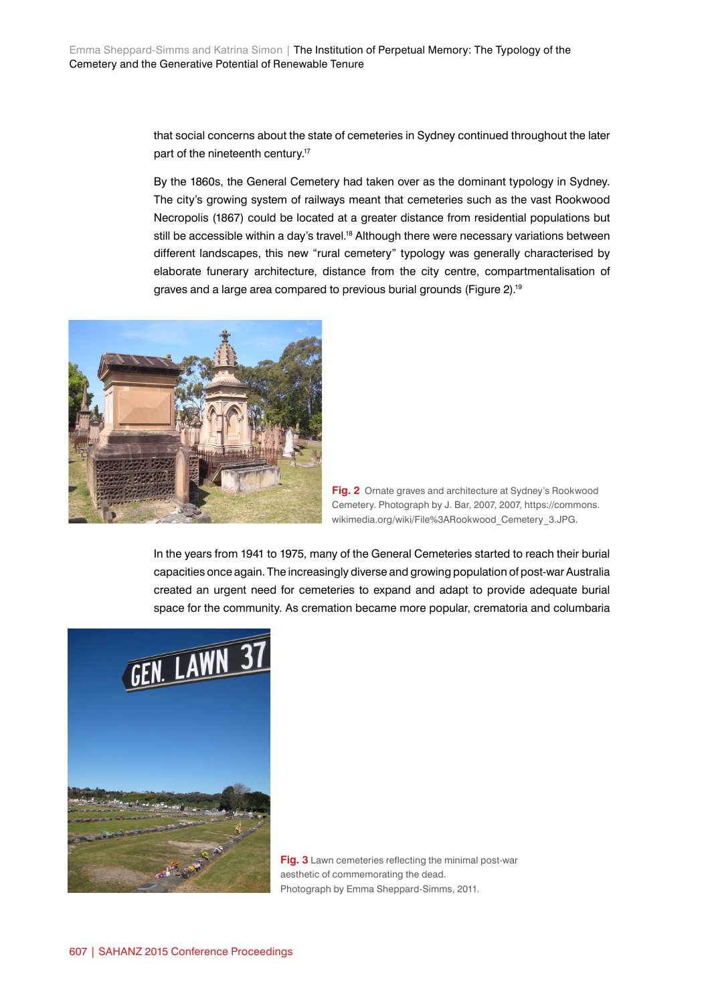that social concerns about the state of cemeteries in Sydney continued throughout the later part of the nineteenth century.17

By the 1860s, the General Cemetery had taken over as the dominant typology in Sydney. The city's growing system of railways meant that cemeteries such as the vast Rookwood Necropolis (1867) could be located at a greater distance from residential populations but still be accessible within a day's travel.<sup>18</sup> Although there were necessary variations between different landscapes, this new "rural cemetery" typology was generally characterised by elaborate funerary architecture, distance from the city centre, compartmentalisation of graves and a large area compared to previous burial grounds (Figure 2).19



**Fig. 2** Ornate graves and architecture at Sydney's Rookwood Cemetery. Photograph by J. Bar, 2007, 2007, https://commons. wikimedia.org/wiki/File%3ARookwood\_Cemetery\_3.JPG.

In the years from 1941 to 1975, many of the General Cemeteries started to reach their burial capacities once again. The increasingly diverse and growing population of post-war Australia created an urgent need for cemeteries to expand and adapt to provide adequate burial space for the community. As cremation became more popular, crematoria and columbaria



**Fig. 3** Lawn cemeteries reflecting the minimal post-war aesthetic of commemorating the dead. Photograph by Emma Sheppard-Simms, 2011.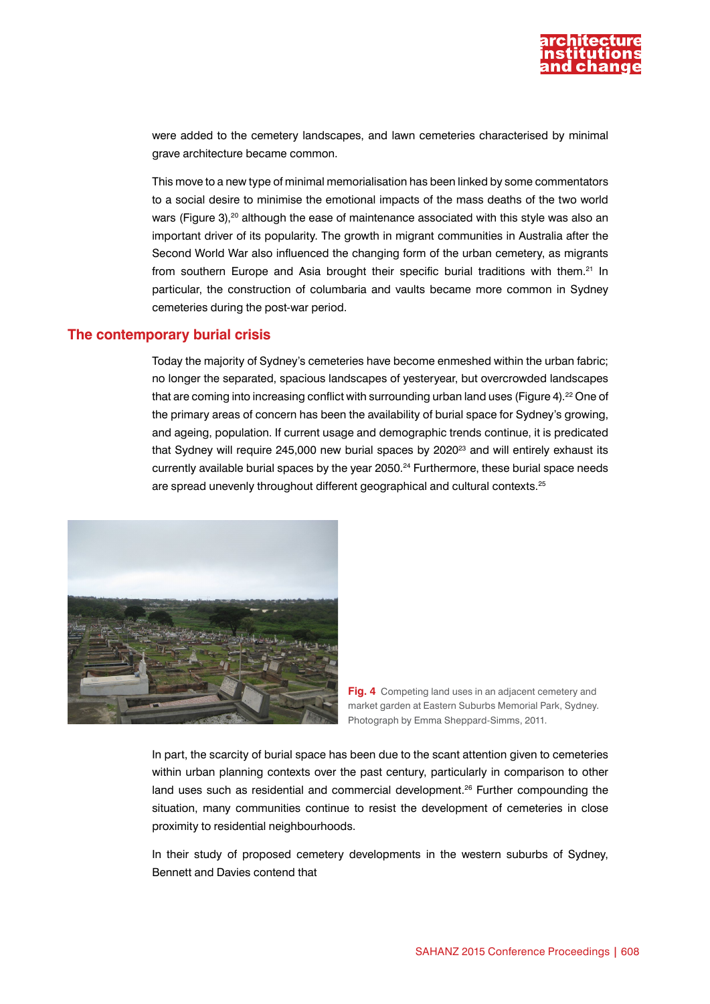

were added to the cemetery landscapes, and lawn cemeteries characterised by minimal grave architecture became common.

This move to a new type of minimal memorialisation has been linked by some commentators to a social desire to minimise the emotional impacts of the mass deaths of the two world wars (Figure 3),<sup>20</sup> although the ease of maintenance associated with this style was also an important driver of its popularity. The growth in migrant communities in Australia after the Second World War also influenced the changing form of the urban cemetery, as migrants from southern Europe and Asia brought their specific burial traditions with them.<sup>21</sup> In particular, the construction of columbaria and vaults became more common in Sydney cemeteries during the post-war period.

# **The contemporary burial crisis**

Today the majority of Sydney's cemeteries have become enmeshed within the urban fabric; no longer the separated, spacious landscapes of yesteryear, but overcrowded landscapes that are coming into increasing conflict with surrounding urban land uses (Figure 4).<sup>22</sup> One of the primary areas of concern has been the availability of burial space for Sydney's growing, and ageing, population. If current usage and demographic trends continue, it is predicated that Sydney will require 245,000 new burial spaces by 2020<sup>23</sup> and will entirely exhaust its currently available burial spaces by the year 2050.24 Furthermore, these burial space needs are spread unevenly throughout different geographical and cultural contexts.25



**Fig. 4** Competing land uses in an adjacent cemetery and market garden at Eastern Suburbs Memorial Park, Sydney. Photograph by Emma Sheppard-Simms, 2011.

In part, the scarcity of burial space has been due to the scant attention given to cemeteries within urban planning contexts over the past century, particularly in comparison to other land uses such as residential and commercial development.<sup>26</sup> Further compounding the situation, many communities continue to resist the development of cemeteries in close proximity to residential neighbourhoods.

In their study of proposed cemetery developments in the western suburbs of Sydney, Bennett and Davies contend that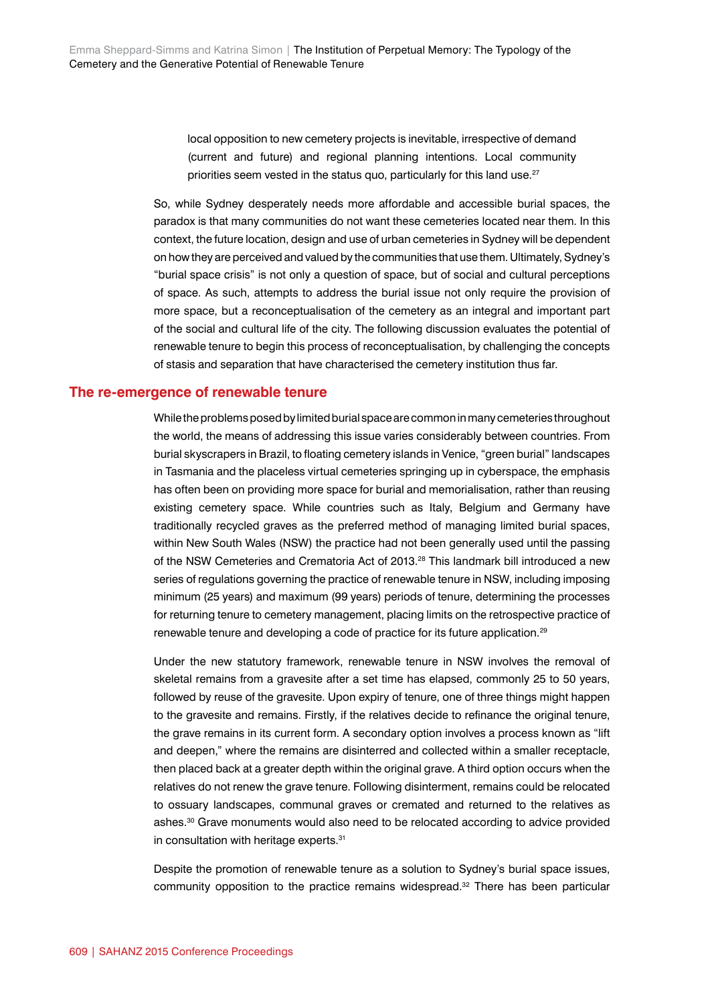local opposition to new cemetery projects is inevitable, irrespective of demand (current and future) and regional planning intentions. Local community priorities seem vested in the status quo, particularly for this land use.<sup>27</sup>

So, while Sydney desperately needs more affordable and accessible burial spaces, the paradox is that many communities do not want these cemeteries located near them. In this context, the future location, design and use of urban cemeteries in Sydney will be dependent on how they are perceived and valued by the communities that use them. Ultimately, Sydney's "burial space crisis" is not only a question of space, but of social and cultural perceptions of space. As such, attempts to address the burial issue not only require the provision of more space, but a reconceptualisation of the cemetery as an integral and important part of the social and cultural life of the city. The following discussion evaluates the potential of renewable tenure to begin this process of reconceptualisation, by challenging the concepts of stasis and separation that have characterised the cemetery institution thus far.

#### **The re-emergence of renewable tenure**

While the problems posed by limited burial space are common in many cemeteries throughout the world, the means of addressing this issue varies considerably between countries. From burial skyscrapers in Brazil, to floating cemetery islands in Venice, "green burial" landscapes in Tasmania and the placeless virtual cemeteries springing up in cyberspace, the emphasis has often been on providing more space for burial and memorialisation, rather than reusing existing cemetery space. While countries such as Italy, Belgium and Germany have traditionally recycled graves as the preferred method of managing limited burial spaces, within New South Wales (NSW) the practice had not been generally used until the passing of the NSW Cemeteries and Crematoria Act of 2013.<sup>28</sup> This landmark bill introduced a new series of regulations governing the practice of renewable tenure in NSW, including imposing minimum (25 years) and maximum (99 years) periods of tenure, determining the processes for returning tenure to cemetery management, placing limits on the retrospective practice of renewable tenure and developing a code of practice for its future application.29

Under the new statutory framework, renewable tenure in NSW involves the removal of skeletal remains from a gravesite after a set time has elapsed, commonly 25 to 50 years, followed by reuse of the gravesite. Upon expiry of tenure, one of three things might happen to the gravesite and remains. Firstly, if the relatives decide to refinance the original tenure, the grave remains in its current form. A secondary option involves a process known as "lift and deepen," where the remains are disinterred and collected within a smaller receptacle, then placed back at a greater depth within the original grave. A third option occurs when the relatives do not renew the grave tenure. Following disinterment, remains could be relocated to ossuary landscapes, communal graves or cremated and returned to the relatives as ashes.30 Grave monuments would also need to be relocated according to advice provided in consultation with heritage experts.<sup>31</sup>

Despite the promotion of renewable tenure as a solution to Sydney's burial space issues, community opposition to the practice remains widespread.32 There has been particular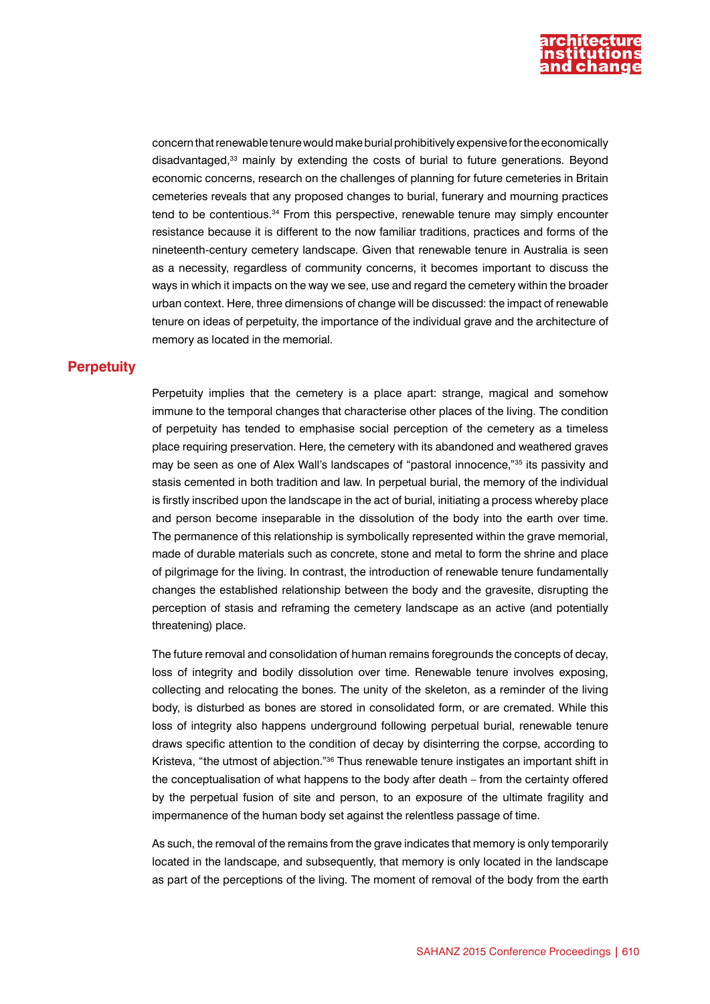

concern that renewable tenure would make burial prohibitively expensive for the economically disadvantaged,33 mainly by extending the costs of burial to future generations. Beyond economic concerns, research on the challenges of planning for future cemeteries in Britain cemeteries reveals that any proposed changes to burial, funerary and mourning practices tend to be contentious.<sup>34</sup> From this perspective, renewable tenure may simply encounter resistance because it is different to the now familiar traditions, practices and forms of the nineteenth-century cemetery landscape. Given that renewable tenure in Australia is seen as a necessity, regardless of community concerns, it becomes important to discuss the ways in which it impacts on the way we see, use and regard the cemetery within the broader urban context. Here, three dimensions of change will be discussed: the impact of renewable tenure on ideas of perpetuity, the importance of the individual grave and the architecture of memory as located in the memorial.

#### **Perpetuity**

Perpetuity implies that the cemetery is a place apart: strange, magical and somehow immune to the temporal changes that characterise other places of the living. The condition of perpetuity has tended to emphasise social perception of the cemetery as a timeless place requiring preservation. Here, the cemetery with its abandoned and weathered graves may be seen as one of Alex Wall's landscapes of "pastoral innocence,"35 its passivity and stasis cemented in both tradition and law. In perpetual burial, the memory of the individual is firstly inscribed upon the landscape in the act of burial, initiating a process whereby place and person become inseparable in the dissolution of the body into the earth over time. The permanence of this relationship is symbolically represented within the grave memorial, made of durable materials such as concrete, stone and metal to form the shrine and place of pilgrimage for the living. In contrast, the introduction of renewable tenure fundamentally changes the established relationship between the body and the gravesite, disrupting the perception of stasis and reframing the cemetery landscape as an active (and potentially threatening) place.

The future removal and consolidation of human remains foregrounds the concepts of decay, loss of integrity and bodily dissolution over time. Renewable tenure involves exposing, collecting and relocating the bones. The unity of the skeleton, as a reminder of the living body, is disturbed as bones are stored in consolidated form, or are cremated. While this loss of integrity also happens underground following perpetual burial, renewable tenure draws specific attention to the condition of decay by disinterring the corpse, according to Kristeva, "the utmost of abjection."36 Thus renewable tenure instigates an important shift in the conceptualisation of what happens to the body after death – from the certainty offered by the perpetual fusion of site and person, to an exposure of the ultimate fragility and impermanence of the human body set against the relentless passage of time.

As such, the removal of the remains from the grave indicates that memory is only temporarily located in the landscape, and subsequently, that memory is only located in the landscape as part of the perceptions of the living. The moment of removal of the body from the earth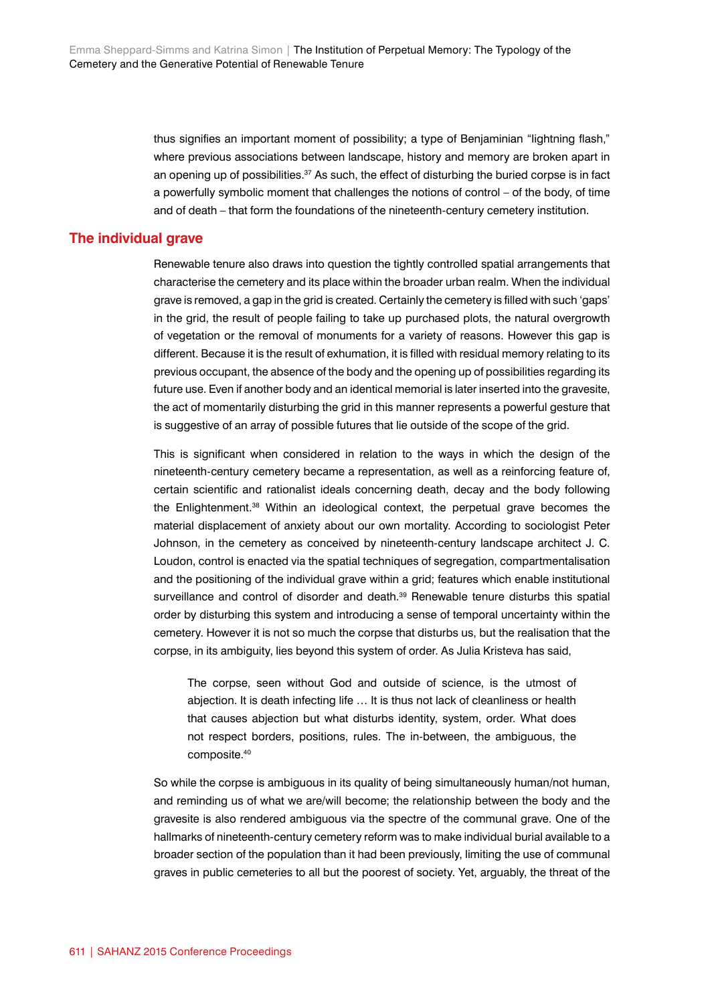thus signifies an important moment of possibility; a type of Benjaminian "lightning flash," where previous associations between landscape, history and memory are broken apart in an opening up of possibilities.<sup>37</sup> As such, the effect of disturbing the buried corpse is in fact a powerfully symbolic moment that challenges the notions of control – of the body, of time and of death – that form the foundations of the nineteenth-century cemetery institution.

### **The individual grave**

Renewable tenure also draws into question the tightly controlled spatial arrangements that characterise the cemetery and its place within the broader urban realm. When the individual grave is removed, a gap in the grid is created. Certainly the cemetery is filled with such 'gaps' in the grid, the result of people failing to take up purchased plots, the natural overgrowth of vegetation or the removal of monuments for a variety of reasons. However this gap is different. Because it is the result of exhumation, it is filled with residual memory relating to its previous occupant, the absence of the body and the opening up of possibilities regarding its future use. Even if another body and an identical memorial is later inserted into the gravesite, the act of momentarily disturbing the grid in this manner represents a powerful gesture that is suggestive of an array of possible futures that lie outside of the scope of the grid.

This is significant when considered in relation to the ways in which the design of the nineteenth-century cemetery became a representation, as well as a reinforcing feature of, certain scientific and rationalist ideals concerning death, decay and the body following the Enlightenment.38 Within an ideological context, the perpetual grave becomes the material displacement of anxiety about our own mortality. According to sociologist Peter Johnson, in the cemetery as conceived by nineteenth-century landscape architect J. C. Loudon, control is enacted via the spatial techniques of segregation, compartmentalisation and the positioning of the individual grave within a grid; features which enable institutional surveillance and control of disorder and death.<sup>39</sup> Renewable tenure disturbs this spatial order by disturbing this system and introducing a sense of temporal uncertainty within the cemetery. However it is not so much the corpse that disturbs us, but the realisation that the corpse, in its ambiguity, lies beyond this system of order. As Julia Kristeva has said,

The corpse, seen without God and outside of science, is the utmost of abjection. It is death infecting life … It is thus not lack of cleanliness or health that causes abjection but what disturbs identity, system, order. What does not respect borders, positions, rules. The in-between, the ambiguous, the composite.40

So while the corpse is ambiguous in its quality of being simultaneously human/not human, and reminding us of what we are/will become; the relationship between the body and the gravesite is also rendered ambiguous via the spectre of the communal grave. One of the hallmarks of nineteenth-century cemetery reform was to make individual burial available to a broader section of the population than it had been previously, limiting the use of communal graves in public cemeteries to all but the poorest of society. Yet, arguably, the threat of the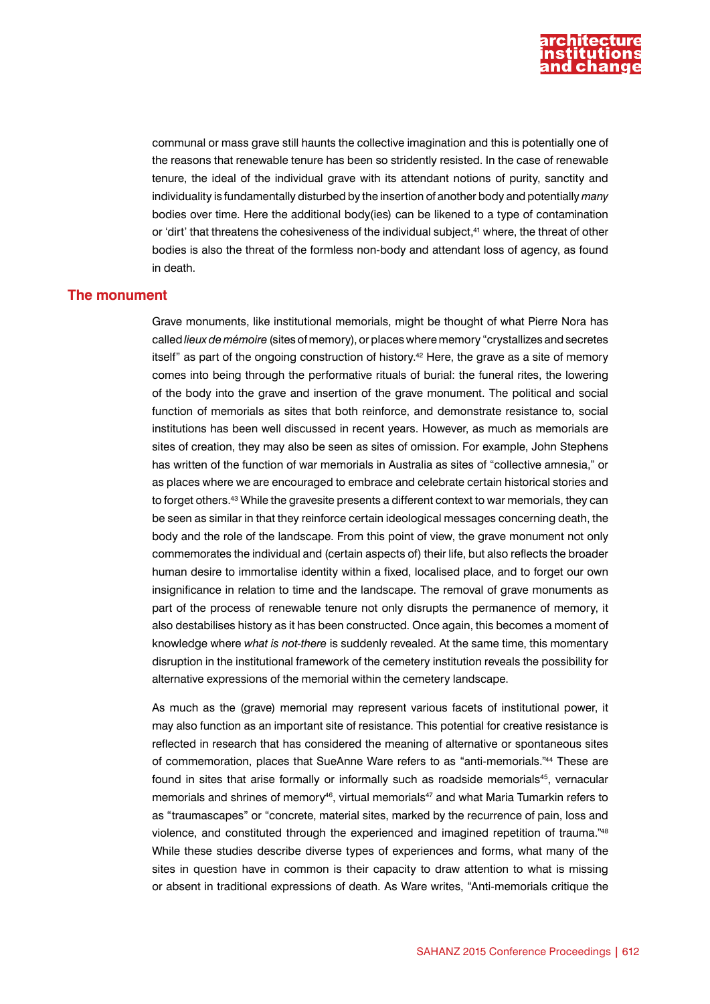

communal or mass grave still haunts the collective imagination and this is potentially one of the reasons that renewable tenure has been so stridently resisted. In the case of renewable tenure, the ideal of the individual grave with its attendant notions of purity, sanctity and individuality is fundamentally disturbed by the insertion of another body and potentially *many* bodies over time. Here the additional body(ies) can be likened to a type of contamination or 'dirt' that threatens the cohesiveness of the individual subject,<sup>41</sup> where, the threat of other bodies is also the threat of the formless non-body and attendant loss of agency, as found in death.

# **The monument**

Grave monuments, like institutional memorials, might be thought of what Pierre Nora has called *lieux de mémoire* (sites of memory), or places where memory "crystallizes and secretes itself" as part of the ongoing construction of history.<sup>42</sup> Here, the grave as a site of memory comes into being through the performative rituals of burial: the funeral rites, the lowering of the body into the grave and insertion of the grave monument. The political and social function of memorials as sites that both reinforce, and demonstrate resistance to, social institutions has been well discussed in recent years. However, as much as memorials are sites of creation, they may also be seen as sites of omission. For example, John Stephens has written of the function of war memorials in Australia as sites of "collective amnesia," or as places where we are encouraged to embrace and celebrate certain historical stories and to forget others.43 While the gravesite presents a different context to war memorials, they can be seen as similar in that they reinforce certain ideological messages concerning death, the body and the role of the landscape. From this point of view, the grave monument not only commemorates the individual and (certain aspects of) their life, but also reflects the broader human desire to immortalise identity within a fixed, localised place, and to forget our own insignificance in relation to time and the landscape. The removal of grave monuments as part of the process of renewable tenure not only disrupts the permanence of memory, it also destabilises history as it has been constructed. Once again, this becomes a moment of knowledge where *what is not-there* is suddenly revealed. At the same time, this momentary disruption in the institutional framework of the cemetery institution reveals the possibility for alternative expressions of the memorial within the cemetery landscape.

As much as the (grave) memorial may represent various facets of institutional power, it may also function as an important site of resistance. This potential for creative resistance is reflected in research that has considered the meaning of alternative or spontaneous sites of commemoration, places that SueAnne Ware refers to as "anti-memorials."44 These are found in sites that arise formally or informally such as roadside memorials<sup>45</sup>, vernacular memorials and shrines of memory<sup>46</sup>, virtual memorials<sup>47</sup> and what Maria Tumarkin refers to as "traumascapes" or "concrete, material sites, marked by the recurrence of pain, loss and violence, and constituted through the experienced and imagined repetition of trauma."48 While these studies describe diverse types of experiences and forms, what many of the sites in question have in common is their capacity to draw attention to what is missing or absent in traditional expressions of death. As Ware writes, "Anti-memorials critique the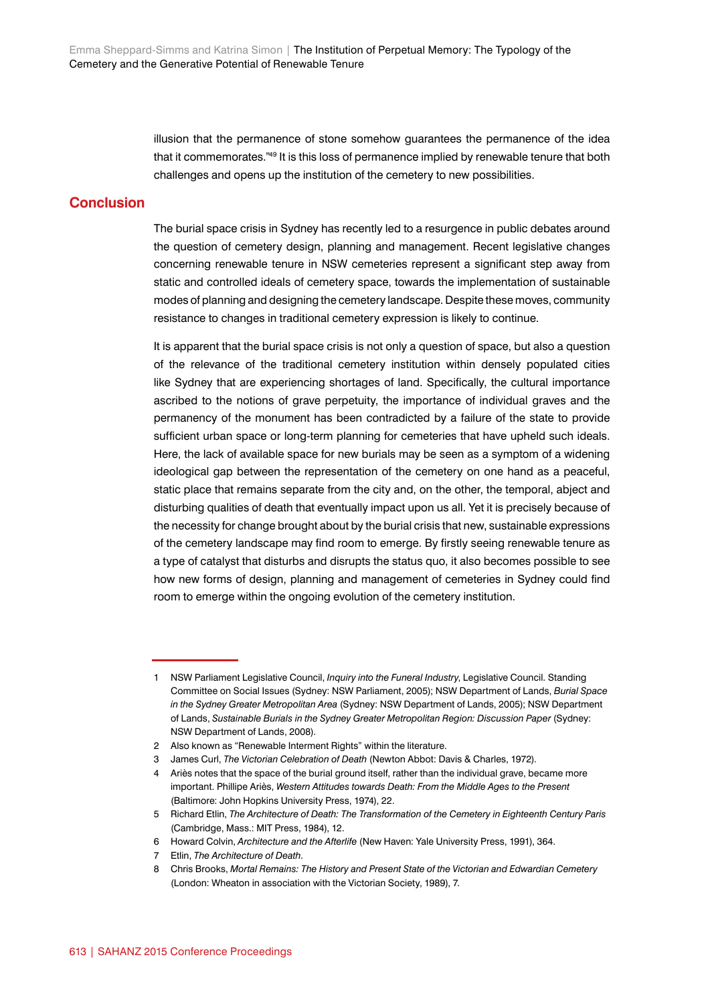illusion that the permanence of stone somehow guarantees the permanence of the idea that it commemorates."49 It is this loss of permanence implied by renewable tenure that both challenges and opens up the institution of the cemetery to new possibilities.

# **Conclusion**

The burial space crisis in Sydney has recently led to a resurgence in public debates around the question of cemetery design, planning and management. Recent legislative changes concerning renewable tenure in NSW cemeteries represent a significant step away from static and controlled ideals of cemetery space, towards the implementation of sustainable modes of planning and designing the cemetery landscape. Despite these moves, community resistance to changes in traditional cemetery expression is likely to continue.

It is apparent that the burial space crisis is not only a question of space, but also a question of the relevance of the traditional cemetery institution within densely populated cities like Sydney that are experiencing shortages of land. Specifically, the cultural importance ascribed to the notions of grave perpetuity, the importance of individual graves and the permanency of the monument has been contradicted by a failure of the state to provide sufficient urban space or long-term planning for cemeteries that have upheld such ideals. Here, the lack of available space for new burials may be seen as a symptom of a widening ideological gap between the representation of the cemetery on one hand as a peaceful, static place that remains separate from the city and, on the other, the temporal, abject and disturbing qualities of death that eventually impact upon us all. Yet it is precisely because of the necessity for change brought about by the burial crisis that new, sustainable expressions of the cemetery landscape may find room to emerge. By firstly seeing renewable tenure as a type of catalyst that disturbs and disrupts the status quo, it also becomes possible to see how new forms of design, planning and management of cemeteries in Sydney could find room to emerge within the ongoing evolution of the cemetery institution.

<sup>1</sup> NSW Parliament Legislative Council, *Inquiry into the Funeral Industry*, Legislative Council. Standing Committee on Social Issues (Sydney: NSW Parliament, 2005); NSW Department of Lands, *Burial Space in the Sydney Greater Metropolitan Area* (Sydney: NSW Department of Lands, 2005); NSW Department of Lands, *Sustainable Burials in the Sydney Greater Metropolitan Region: Discussion Paper* (Sydney: NSW Department of Lands, 2008).

<sup>2</sup> Also known as "Renewable Interment Rights" within the literature.

<sup>3</sup> James Curl, *The Victorian Celebration of Death* (Newton Abbot: Davis & Charles, 1972).

<sup>4</sup> Ariès notes that the space of the burial ground itself, rather than the individual grave, became more important. Phillipe Ariès, *Western Attitudes towards Death: From the Middle Ages to the Present* (Baltimore: John Hopkins University Press, 1974), 22.

<sup>5</sup> Richard Etlin, *The Architecture of Death: The Transformation of the Cemetery in Eighteenth Century Paris* (Cambridge, Mass.: MIT Press, 1984), 12.

<sup>6</sup> Howard Colvin, *Architecture and the Afterlife* (New Haven: Yale University Press, 1991), 364.

<sup>7</sup> Etlin, *The Architecture of Death*.

<sup>8</sup> Chris Brooks, *Mortal Remains: The History and Present State of the Victorian and Edwardian Cemetery* (London: Wheaton in association with the Victorian Society, 1989), 7.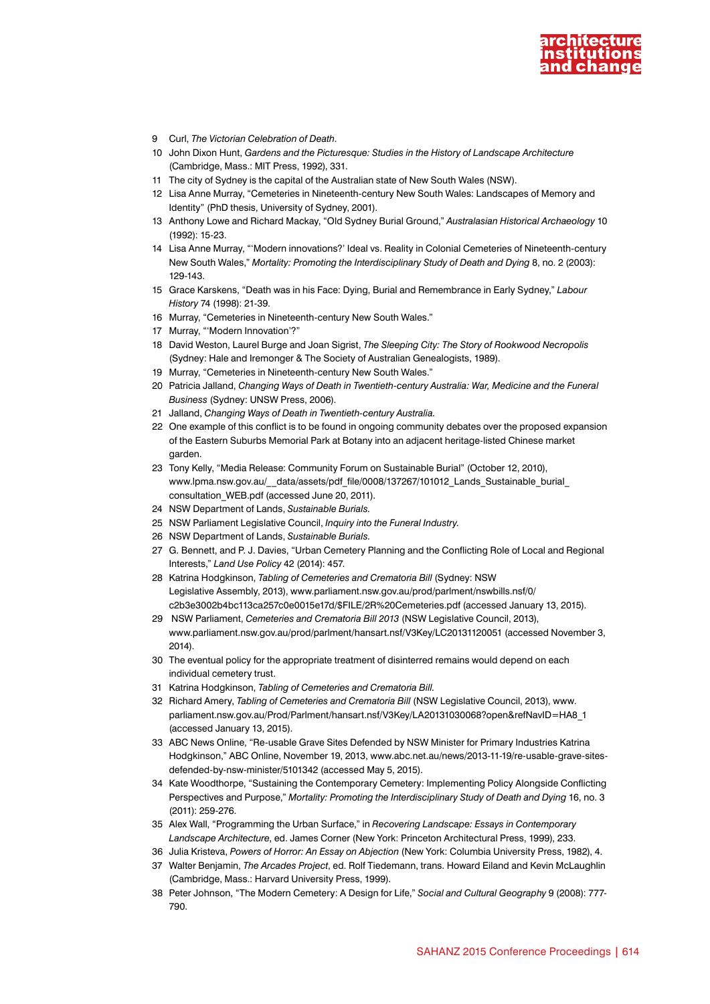

- 9 Curl, *The Victorian Celebration of Death*.
- 10 John Dixon Hunt, *Gardens and the Picturesque: Studies in the History of Landscape Architecture* (Cambridge, Mass.: MIT Press, 1992), 331.
- 11 The city of Sydney is the capital of the Australian state of New South Wales (NSW).
- 12 Lisa Anne Murray, "Cemeteries in Nineteenth-century New South Wales: Landscapes of Memory and Identity" (PhD thesis, University of Sydney, 2001).
- 13 Anthony Lowe and Richard Mackay, "Old Sydney Burial Ground," *Australasian Historical Archaeology* 10 (1992): 15-23.
- 14 Lisa Anne Murray, "'Modern innovations?' Ideal vs. Reality in Colonial Cemeteries of Nineteenth-century New South Wales," *Mortality: Promoting the Interdisciplinary Study of Death and Dying* 8, no. 2 (2003): 129-143.
- 15 Grace Karskens, "Death was in his Face: Dying, Burial and Remembrance in Early Sydney," *Labour History* 74 (1998): 21-39.
- 16 Murray, "Cemeteries in Nineteenth-century New South Wales."
- 17 Murray, "'Modern Innovation'?"
- 18 David Weston, Laurel Burge and Joan Sigrist, *The Sleeping City: The Story of Rookwood Necropolis* (Sydney: Hale and Iremonger & The Society of Australian Genealogists, 1989).
- 19 Murray, "Cemeteries in Nineteenth-century New South Wales."
- 20 Patricia Jalland, *Changing Ways of Death in Twentieth-century Australia: War, Medicine and the Funeral Business* (Sydney: UNSW Press, 2006).
- 21 Jalland, *Changing Ways of Death in Twentieth-century Australia.*
- 22 One example of this conflict is to be found in ongoing community debates over the proposed expansion of the Eastern Suburbs Memorial Park at Botany into an adjacent heritage-listed Chinese market garden.
- 23 Tony Kelly, "Media Release: Community Forum on Sustainable Burial" (October 12, 2010), www.lpma.nsw.gov.au/ data/assets/pdf file/0008/137267/101012 Lands Sustainable burial [consultation\\_WEB.pdf](http://www.lpma.nsw.gov.au/__data/assets/pdf_file/0008/137267/101012_Lands_Sustainable_burial_consultation_WEB.pdf) (accessed June 20, 2011).
- 24 NSW Department of Lands, *Sustainable Burials.*
- 25 NSW Parliament Legislative Council, *Inquiry into the Funeral Industry.*
- 26 NSW Department of Lands, *Sustainable Burials.*
- 27 G. Bennett, and P. J. Davies, "Urban Cemetery Planning and the Conflicting Role of Local and Regional Interests," *Land Use Policy* 42 (2014): 457.
- 28 Katrina Hodgkinson, *Tabling of Cemeteries and Crematoria Bill* (Sydney: NSW Legislative Assembly, 2013), www.parliament.nsw.gov.au/prod/parlment/nswbills.nsf/0/ c2b3e3002b4bc113ca257c0e0015e17d/\$FILE/2R%20Cemeteries.pdf (accessed January 13, 2015).
- 29 NSW Parliament, *Cemeteries and Crematoria Bill 2013* (NSW Legislative Council, 2013), [www.parliament.nsw.gov.au/prod/parlment/hansart.nsf/V3Key/LC20131120051](https://www.parliament.nsw.gov.au/prod/parlment/hansart.nsf/V3Key/LC20131120051) (accessed November 3, 2014).
- 30 The eventual policy for the appropriate treatment of disinterred remains would depend on each individual cemetery trust.
- 31 Katrina Hodgkinson, *Tabling of Cemeteries and Crematoria Bill.*
- 32 Richard Amery, *Tabling of Cemeteries and Crematoria Bill* (NSW Legislative Council, 2013), www. parliament.nsw.gov.au/Prod/Parlment/hansart.nsf/V3Key/LA20131030068?open&refNavID=HA8\_1 (accessed January 13, 2015).
- 33 ABC News Online, "Re-usable Grave Sites Defended by NSW Minister for Primary Industries Katrina Hodgkinson," ABC Online, November 19, 2013, [www.abc.net.au/news/2013-11-19/re-usable-grave-sites](http://www.abc.net.au/news/2013-11-19/re-usable-grave-sites-defended-by-nsw-minister/5101342)[defended-by-nsw-minister/5101342](http://www.abc.net.au/news/2013-11-19/re-usable-grave-sites-defended-by-nsw-minister/5101342) (accessed May 5, 2015).
- 34 Kate Woodthorpe, "Sustaining the Contemporary Cemetery: Implementing Policy Alongside Conflicting Perspectives and Purpose," *Mortality: Promoting the Interdisciplinary Study of Death and Dying* 16, no. 3 (2011): 259-276.
- 35 Alex Wall, "Programming the Urban Surface," in *Recovering Landscape: Essays in Contemporary Landscape Architecture*, ed. James Corner (New York: Princeton Architectural Press, 1999), 233.
- 36 Julia Kristeva, *Powers of Horror: An Essay on Abjection* (New York: Columbia University Press, 1982), 4. 37 Walter Benjamin, *The Arcades Project*, ed. Rolf Tiedemann, trans. Howard Eiland and Kevin McLaughlin
- (Cambridge, Mass.: Harvard University Press, 1999).
- 38 Peter Johnson, "The Modern Cemetery: A Design for Life," *Social and Cultural Geography* 9 (2008): 777- 790.